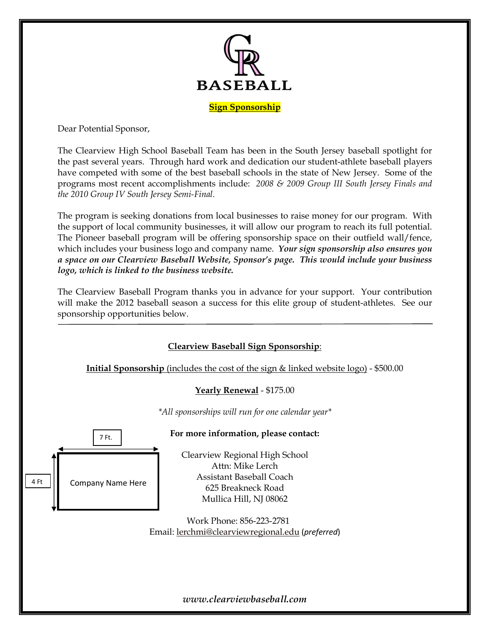

Dear Potential Sponsor,

The Clearview High School Baseball Team has been in the South Jersey baseball spotlight for the past several years. Through hard work and dedication our student-athlete baseball players have competed with some of the best baseball schools in the state of New Jersey. Some of the programs most recent accomplishments include: *2008 & 2009 Group III South Jersey Finals and the 2010 Group IV South Jersey Semi-Final.*

The program is seeking donations from local businesses to raise money for our program. With the support of local community businesses, it will allow our program to reach its full potential. The Pioneer baseball program will be offering sponsorship space on their outfield wall/fence, which includes your business logo and company name. *Your sign sponsorship also ensures you a space on our Clearview Baseball Website, Sponsor's page. This would include your business logo, which is linked to the business website.*

The Clearview Baseball Program thanks you in advance for your support. Your contribution will make the 2012 baseball season a success for this elite group of student-athletes. See our sponsorship opportunities below.